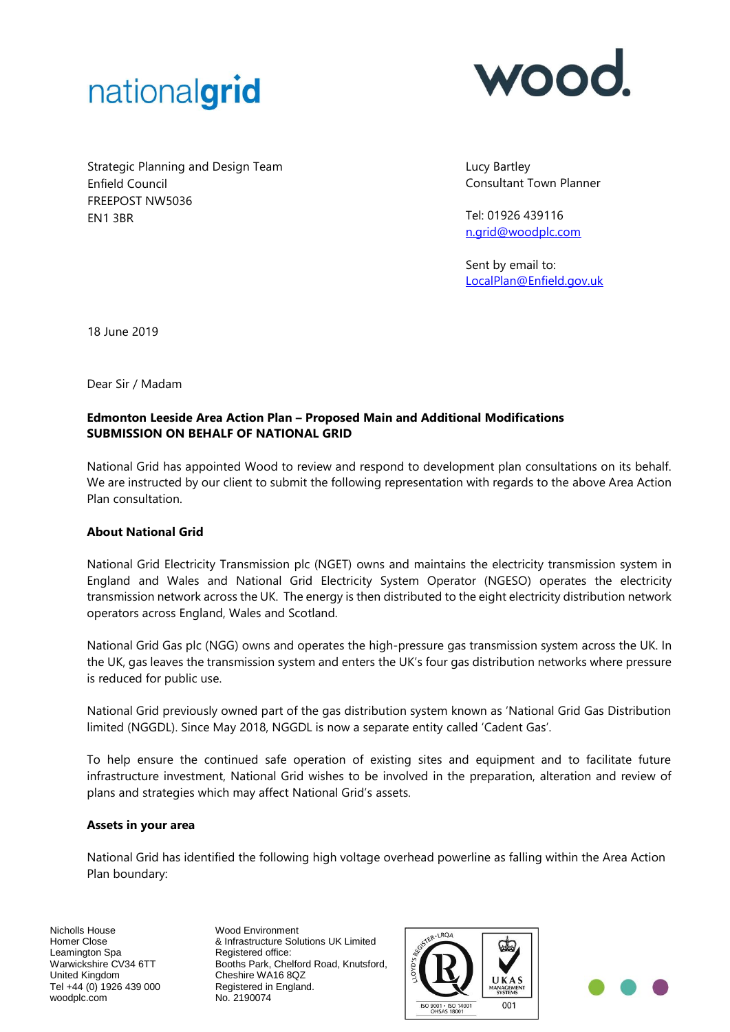



Strategic Planning and Design Team Enfield Council FREEPOST NW5036 EN1 3BR

Lucy Bartley Consultant Town Planner

Tel: 01926 439116 [n.grid@woodplc.com](mailto:n.grid@woodplc.com)

Sent by email to: [LocalPlan@Enfield.gov.uk](mailto:LocalPlan@Enfield.gov.uk)

18 June 2019

Dear Sir / Madam

# **Edmonton Leeside Area Action Plan – Proposed Main and Additional Modifications SUBMISSION ON BEHALF OF NATIONAL GRID**

National Grid has appointed Wood to review and respond to development plan consultations on its behalf. We are instructed by our client to submit the following representation with regards to the above Area Action Plan consultation.

#### **About National Grid**

National Grid Electricity Transmission plc (NGET) owns and maintains the electricity transmission system in England and Wales and National Grid Electricity System Operator (NGESO) operates the electricity transmission network across the UK. The energy is then distributed to the eight electricity distribution network operators across England, Wales and Scotland.

National Grid Gas plc (NGG) owns and operates the high-pressure gas transmission system across the UK. In the UK, gas leaves the transmission system and enters the UK's four gas distribution networks where pressure is reduced for public use.

National Grid previously owned part of the gas distribution system known as 'National Grid Gas Distribution limited (NGGDL). Since May 2018, NGGDL is now a separate entity called 'Cadent Gas'.

To help ensure the continued safe operation of existing sites and equipment and to facilitate future infrastructure investment, National Grid wishes to be involved in the preparation, alteration and review of plans and strategies which may affect National Grid's assets.

#### **Assets in your area**

National Grid has identified the following high voltage overhead powerline as falling within the Area Action Plan boundary:

Nicholls House Homer Close Leamington Spa Warwickshire CV34 6TT United Kingdom Tel +44 (0) 1926 439 000 woodplc.com

Wood Environment & Infrastructure Solutions UK Limited Registered office: Booths Park, Chelford Road, Knutsford, Cheshire WA16 8QZ Registered in England. No. 2190074



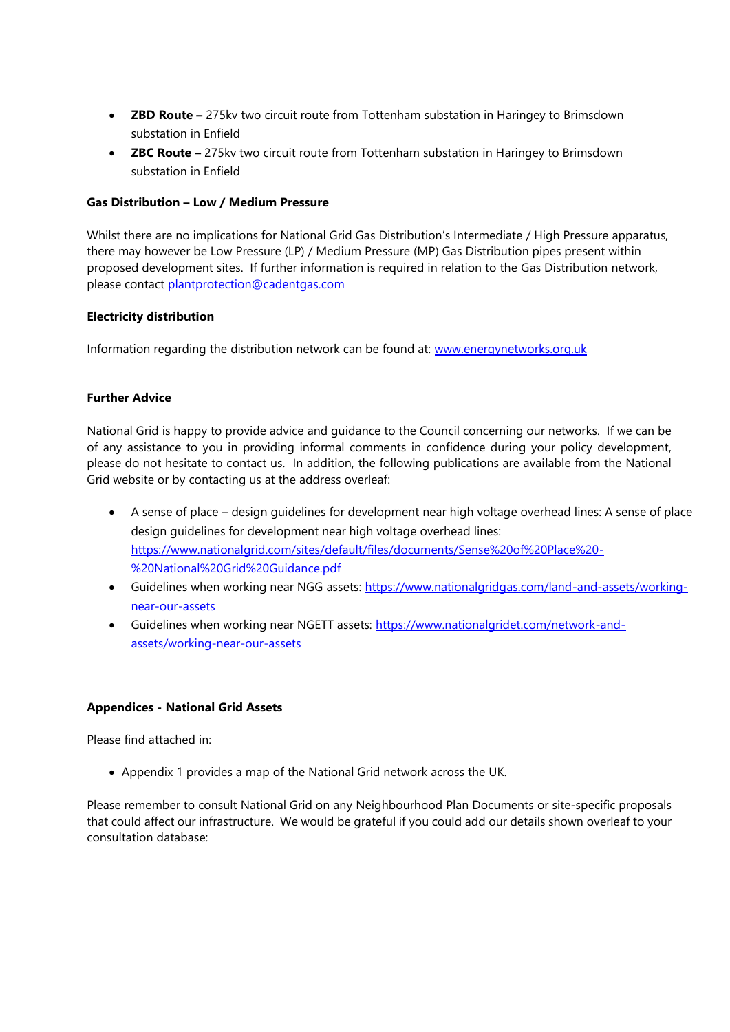- **ZBD Route –** 275kv two circuit route from Tottenham substation in Haringey to Brimsdown substation in Enfield
- **ZBC Route –** 275kv two circuit route from Tottenham substation in Haringey to Brimsdown substation in Enfield

# **Gas Distribution – Low / Medium Pressure**

Whilst there are no implications for National Grid Gas Distribution's Intermediate / High Pressure apparatus, there may however be Low Pressure (LP) / Medium Pressure (MP) Gas Distribution pipes present within proposed development sites. If further information is required in relation to the Gas Distribution network, please contact [plantprotection@cadentgas.com](mailto:plantprotection@cadentgas.com)

# **Electricity distribution**

Information regarding the distribution network can be found at: [www.energynetworks.org.uk](http://www.energynetworks.org.uk/)

# **Further Advice**

National Grid is happy to provide advice and guidance to the Council concerning our networks. If we can be of any assistance to you in providing informal comments in confidence during your policy development, please do not hesitate to contact us. In addition, the following publications are available from the National Grid website or by contacting us at the address overleaf:

- A sense of place design guidelines for development near high voltage overhead lines: A sense of place design guidelines for development near high voltage overhead lines: [https://www.nationalgrid.com/sites/default/files/documents/Sense%20of%20Place%20-](https://www.nationalgrid.com/sites/default/files/documents/Sense%20of%20Place%20-%20National%20Grid%20Guidance.pdf) [%20National%20Grid%20Guidance.pdf](https://www.nationalgrid.com/sites/default/files/documents/Sense%20of%20Place%20-%20National%20Grid%20Guidance.pdf)
- Guidelines when working near NGG assets: [https://www.nationalgridgas.com/land-and-assets/working](https://www.nationalgridgas.com/land-and-assets/working-near-our-assets)[near-our-assets](https://www.nationalgridgas.com/land-and-assets/working-near-our-assets)
- Guidelines when working near NGETT assets: [https://www.nationalgridet.com/network-and](https://www.nationalgridet.com/network-and-assets/working-near-our-assets)[assets/working-near-our-assets](https://www.nationalgridet.com/network-and-assets/working-near-our-assets)

#### **Appendices - National Grid Assets**

Please find attached in:

• Appendix 1 provides a map of the National Grid network across the UK.

Please remember to consult National Grid on any Neighbourhood Plan Documents or site-specific proposals that could affect our infrastructure. We would be grateful if you could add our details shown overleaf to your consultation database: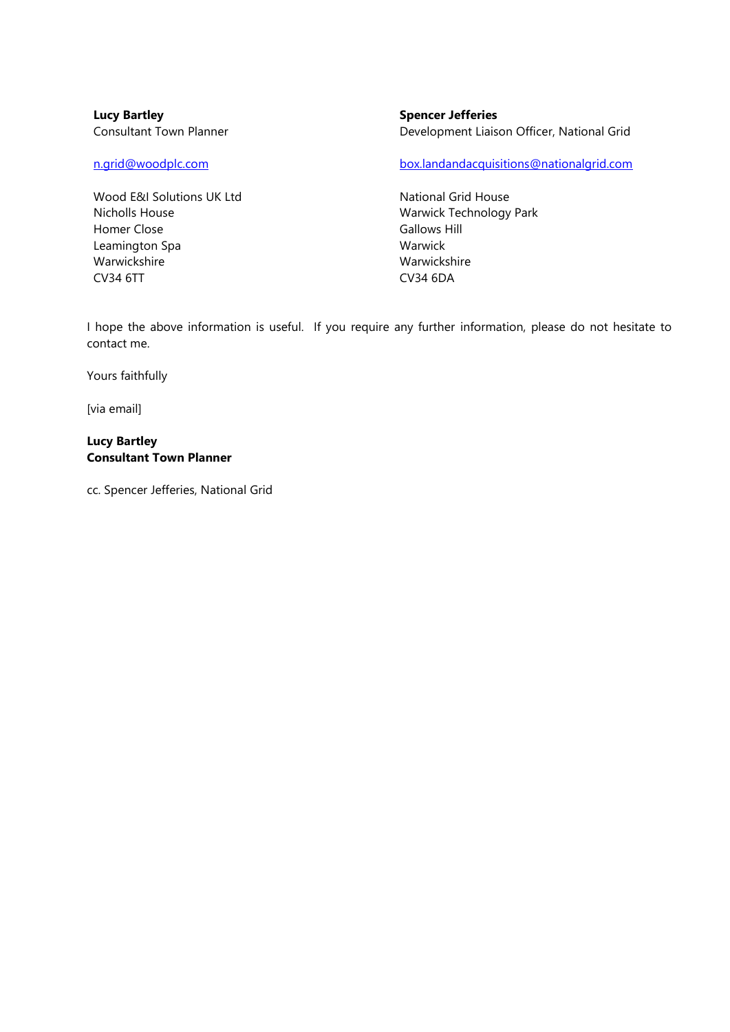**Lucy Bartley** Consultant Town Planner

Wood E&I Solutions UK Ltd Nicholls House Homer Close Leamington Spa Warwickshire CV34 6TT

**Spencer Jefferies** Development Liaison Officer, National Grid

[n.grid@woodplc.com](mailto:n.grid@woodplc.com) [box.landandacquisitions@nationalgrid.com](mailto:box.landandacquisitions@nationalgrid.com)

National Grid House Warwick Technology Park Gallows Hill Warwick Warwickshire CV34 6DA

I hope the above information is useful. If you require any further information, please do not hesitate to contact me.

Yours faithfully

[via email]

#### **Lucy Bartley Consultant Town Planner**

cc. Spencer Jefferies, National Grid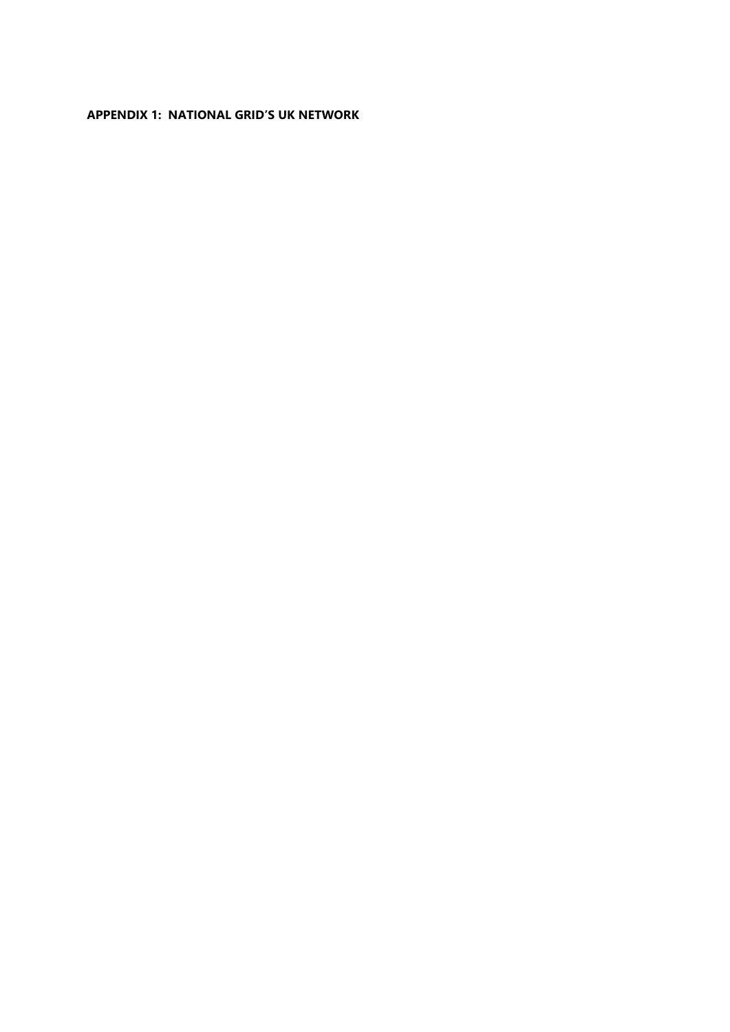# **APPENDIX 1: NATIONAL GRID'S UK NETWORK**